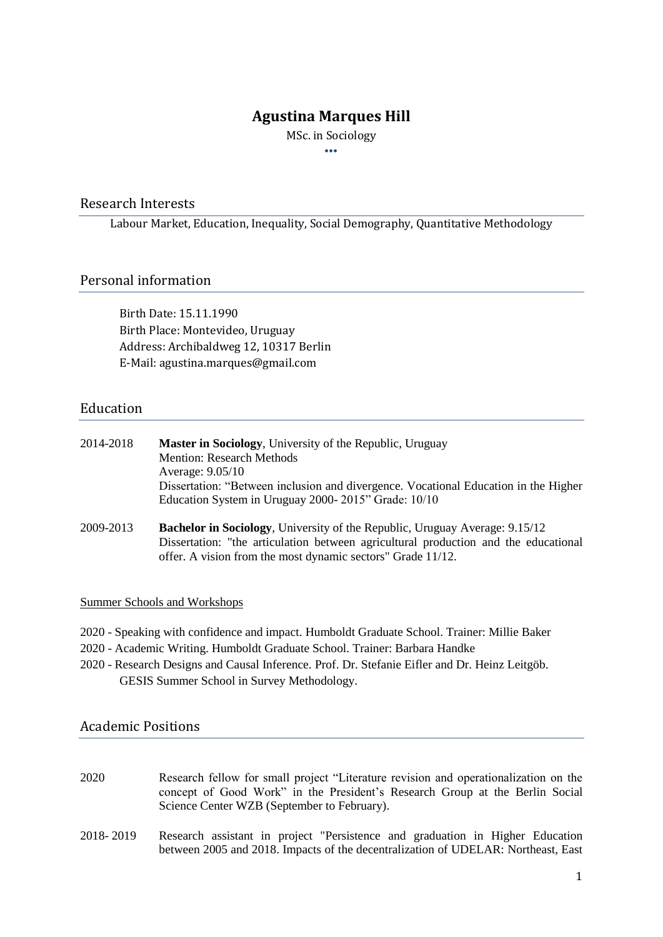# **Agustina Marques Hill**

MSc. in Sociology •••

### Research Interests

Labour Market, Education, Inequality, Social Demography, Quantitative Methodology

## Personal information

Birth Date: 15.11.1990 Birth Place: Montevideo, Uruguay Address: Archibaldweg 12, 10317 Berlin E-Mail: [agustina.marques@gmail.com](mailto:agustina.marques@gmail.com)

## Education

| 2014-2018 | Master in Sociology, University of the Republic, Uruguay<br><b>Mention: Research Methods</b><br>Average: 9.05/10<br>Dissertation: "Between inclusion and divergence. Vocational Education in the Higher<br>Education System in Uruguay 2000-2015" Grade: 10/10 |
|-----------|----------------------------------------------------------------------------------------------------------------------------------------------------------------------------------------------------------------------------------------------------------------|
| 2009-2013 | Bachelor in Sociology, University of the Republic, Uruguay Average: 9.15/12<br>Dissertation: "the articulation between agricultural production and the educational<br>offer. A vision from the most dynamic sectors" Grade 11/12.                              |

### Summer Schools and Workshops

- 2020 Speaking with confidence and impact. Humboldt Graduate School. Trainer: Millie Baker
- 2020 Academic Writing. Humboldt Graduate School. Trainer: Barbara Handke
- 2020 Research Designs and Causal Inference. Prof. Dr. Stefanie Eifler and Dr. Heinz Leitgöb. GESIS Summer School in Survey Methodology.

## Academic Positions

| 2020 | Research fellow for small project "Literature revision and operationalization on the |
|------|--------------------------------------------------------------------------------------|
|      | concept of Good Work" in the President's Research Group at the Berlin Social         |
|      | Science Center WZB (September to February).                                          |

2018- 2019 Research assistant in project "Persistence and graduation in Higher Education between 2005 and 2018. Impacts of the decentralization of UDELAR: Northeast, East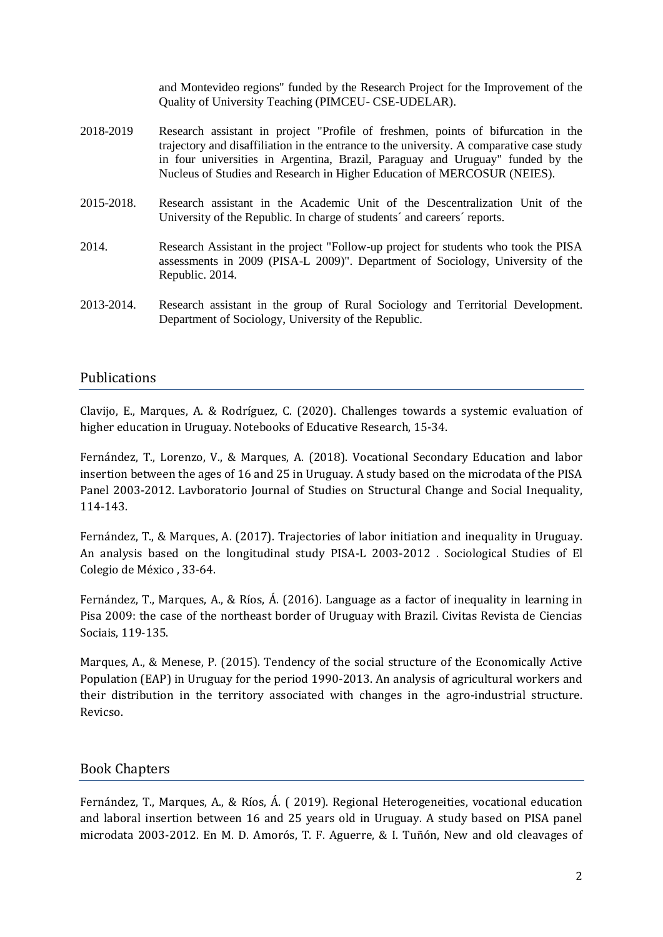and Montevideo regions" funded by the Research Project for the Improvement of the Quality of University Teaching (PIMCEU- CSE-UDELAR).

- 2018-2019 Research assistant in project "Profile of freshmen, points of bifurcation in the trajectory and disaffiliation in the entrance to the university. A comparative case study in four universities in Argentina, Brazil, Paraguay and Uruguay" funded by the Nucleus of Studies and Research in Higher Education of MERCOSUR (NEIES).
- 2015-2018. Research assistant in the Academic Unit of the Descentralization Unit of the University of the Republic. In charge of students´ and careers´ reports.
- 2014. Research Assistant in the project "Follow-up project for students who took the PISA assessments in 2009 (PISA-L 2009)". Department of Sociology, University of the Republic. 2014.
- 2013-2014. Research assistant in the group of Rural Sociology and Territorial Development. Department of Sociology, University of the Republic.

## Publications

[Clavijo, E., Marques, A. & Rodríguez, C. \(2020\). Challenges towards a systemic evaluation of](https://revistas.ort.edu.uy/cuadernos-de-investigacion-educativa/issue/view/283/97)  [higher education in Uruguay. Notebooks of Educative Research, 15-34.](https://revistas.ort.edu.uy/cuadernos-de-investigacion-educativa/issue/view/283/97)

[Fernández, T., Lorenzo, V., & Marques, A. \(2018\). Vocational Secondary](https://publicaciones.sociales.uba.ar/index.php/lavboratorio/article/view/2571/2512) Education and labor [insertion between the ages of 16 and 25 in Uruguay. A study based on the microdata of the PISA](https://publicaciones.sociales.uba.ar/index.php/lavboratorio/article/view/2571/2512)  [Panel 2003-2012. Lavboratorio Journal of Studies on Structural Change and Social Inequality,](https://publicaciones.sociales.uba.ar/index.php/lavboratorio/article/view/2571/2512)  [114-143.](https://publicaciones.sociales.uba.ar/index.php/lavboratorio/article/view/2571/2512)

[Fernández, T., & Marques, A. \(2017\). Trajectories of labor initiation and inequality in Uruguay.](https://estudiossociologicos.colmex.mx/index.php/es/article/view/1515/1503)  [An analysis based on the longitudinal study PISA-L 2003-2012 . Sociological Studies of El](https://estudiossociologicos.colmex.mx/index.php/es/article/view/1515/1503)  [Colegio de México , 33-64.](https://estudiossociologicos.colmex.mx/index.php/es/article/view/1515/1503)

[Fernández, T., Marques, A., & Ríos, Á. \(2016\). Language as a factor of inequality in learning in](http://revistaseletronicas.pucrs.br/ojs/index.php/civitas/article/view/24239/14470)  [Pisa 2009: the case of the northeast border of Uruguay with Brazil. Civitas Revista de Ciencias](http://revistaseletronicas.pucrs.br/ojs/index.php/civitas/article/view/24239/14470)  [Sociais, 119-135.](http://revistaseletronicas.pucrs.br/ojs/index.php/civitas/article/view/24239/14470) 

Marques, A., & Menese, P. (2015). Tendency of the social structure of the Economically Active Population (EAP) in Uruguay for the period 1990-2013. An analysis of agricultural workers and their distribution in the territory associated with changes in the agro-industrial structure. Revicso.

## Book Chapters

[Fernández, T., Marques, A., & Ríos, Á. \( 2019\). Regional Heterogeneities, vocational education](http://biblioteca.clacso.edu.ar/clacso/gt/20191011042805/clivajes_en_la_desigualdad_educativa.pdf)  [and laboral insertion between 16 and 25 years old in Uruguay. A study based on PISA panel](http://biblioteca.clacso.edu.ar/clacso/gt/20191011042805/clivajes_en_la_desigualdad_educativa.pdf)  [microdata 2003-2012. En M. D. Amorós, T. F. Aguerre, & I. Tuñón, New and old cleavages of](http://biblioteca.clacso.edu.ar/clacso/gt/20191011042805/clivajes_en_la_desigualdad_educativa.pdf)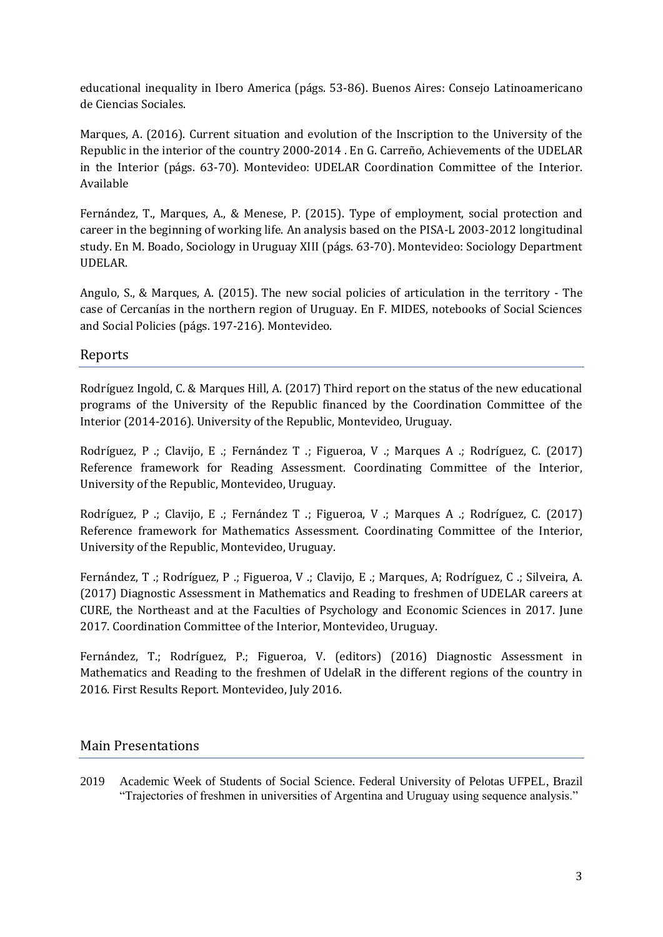[educational inequality in Ibero America \(págs. 53-86\). Buenos Aires: Consejo Latinoamericano](http://biblioteca.clacso.edu.ar/clacso/gt/20191011042805/clivajes_en_la_desigualdad_educativa.pdf)  [de Ciencias Sociales.](http://biblioteca.clacso.edu.ar/clacso/gt/20191011042805/clivajes_en_la_desigualdad_educativa.pdf)

[Marques, A. \(2016\). Current situation and evolution of the Inscription to the University of the](https://www.cci.edu.uy/sites/default/files/Logros_2016con_tapa.pdf)  [Republic in the interior of the country 2000-2014 . En G. Carreño, Achievements of the UDELAR](https://www.cci.edu.uy/sites/default/files/Logros_2016con_tapa.pdf)  [in the Interior \(págs. 63-70\). Montevideo: UDELAR Coordination Committee of the Interior.](https://www.cci.edu.uy/sites/default/files/Logros_2016con_tapa.pdf)  [Available](https://www.cci.edu.uy/sites/default/files/Logros_2016con_tapa.pdf)

[Fernández, T., Marques, A., & Menese, P. \(2015\). Type of employment, social protection and](https://www.colibri.udelar.edu.uy/jspui/bitstream/20.500.12008/7603/1/El%20Uruguay%20desde%20la%20Sociologia%2013.pdf)  career in the beginning of working life. [An analysis based on the PISA-L 2003-2012 longitudinal](https://www.colibri.udelar.edu.uy/jspui/bitstream/20.500.12008/7603/1/El%20Uruguay%20desde%20la%20Sociologia%2013.pdf)  [study. En M. Boado, Sociology in Uruguay XIII \(págs. 63-70\). Montevideo: Sociology Department](https://www.colibri.udelar.edu.uy/jspui/bitstream/20.500.12008/7603/1/El%20Uruguay%20desde%20la%20Sociologia%2013.pdf)  [UDELAR.](https://www.colibri.udelar.edu.uy/jspui/bitstream/20.500.12008/7603/1/El%20Uruguay%20desde%20la%20Sociologia%2013.pdf)

[Angulo, S., & Marques, A. \(2015\). The new social policies of articulation in the territory -](http://dinem.mides.gub.uy/innovaportal/file/62545/1/cuaderno-de-ciencias-sociales-y-politicas-sociales-n-1.-politicas-sociales-en-cercania-infancia-y-juventud-en-contexto-de-pobreza-y-vulnerabilidad-social.-2015.pdf) The [case of Cercanías in the northern region of Uruguay. En F. MIDES, notebooks of Social Sciences](http://dinem.mides.gub.uy/innovaportal/file/62545/1/cuaderno-de-ciencias-sociales-y-politicas-sociales-n-1.-politicas-sociales-en-cercania-infancia-y-juventud-en-contexto-de-pobreza-y-vulnerabilidad-social.-2015.pdf)  [and Social Policies \(págs.](http://dinem.mides.gub.uy/innovaportal/file/62545/1/cuaderno-de-ciencias-sociales-y-politicas-sociales-n-1.-politicas-sociales-en-cercania-infancia-y-juventud-en-contexto-de-pobreza-y-vulnerabilidad-social.-2015.pdf) 197-216). Montevideo.

# Reports

[Rodríguez Ingold, C. & Marques Hill, A. \(2017\) Third report on the status of the new educational](https://www.cci.edu.uy/sites/default/files/Libro%20CCI%20-%202017%20version%20WEB.pdf)  [programs of the University of the Republic financed by the Coordination Committee of the](https://www.cci.edu.uy/sites/default/files/Libro%20CCI%20-%202017%20version%20WEB.pdf)  [Interior \(2014-2016\). University of the Republic, Montevideo, Uruguay.](https://www.cci.edu.uy/sites/default/files/Libro%20CCI%20-%202017%20version%20WEB.pdf)

[Rodríguez, P .; Clavijo, E .; Fernández T .; Figueroa, V .; Marques A .;](https://www.cci.edu.uy/sites/default/files/2017_MARCO_REFERENCIA_LECTURA_0.pdf#overlaycontext=documentos-de-trabajo.) Rodríguez, C. (2017) [Reference framework for Reading Assessment. Coordinating Committee of the Interior,](https://www.cci.edu.uy/sites/default/files/2017_MARCO_REFERENCIA_LECTURA_0.pdf#overlaycontext=documentos-de-trabajo.)  [University of the Republic,](https://www.cci.edu.uy/sites/default/files/2017_MARCO_REFERENCIA_LECTURA_0.pdf#overlaycontext=documentos-de-trabajo.) Montevideo, Uruguay.

[Rodríguez, P .; Clavijo, E .; Fernández T .; Figueroa, V .; Marques A .;](https://www.cci.edu.uy/sites/default/files/2017%20MARCO%20REFERENCIA%20MATEMATICA_1.pdf#overlay-context=documentos-de-trabajo) Rodríguez, C. (2017) [Reference framework for Mathematics Assessment. Coordinating Committee of the Interior,](https://www.cci.edu.uy/sites/default/files/2017%20MARCO%20REFERENCIA%20MATEMATICA_1.pdf#overlay-context=documentos-de-trabajo)  University of the [Republic, Montevideo, Uruguay.](https://www.cci.edu.uy/sites/default/files/2017%20MARCO%20REFERENCIA%20MATEMATICA_1.pdf#overlay-context=documentos-de-trabajo)

[Fernández, T .; Rodríguez, P .; Figueroa, V .; Clavijo, E .; Marques, A; Rodríguez, C .; Silveira, A.](https://www.cci.edu.uy/sites/default/files/PRIMER%20INFORME%20DE%20RESULTADOS%20ED2017_v8.pdf)  [\(2017\) Diagnostic Assessment in Mathematics and Reading to freshmen of UDELAR careers at](https://www.cci.edu.uy/sites/default/files/PRIMER%20INFORME%20DE%20RESULTADOS%20ED2017_v8.pdf)  CURE, the [Northeast and at the Faculties of Psychology and Economic Sciences in 2017. June](https://www.cci.edu.uy/sites/default/files/PRIMER%20INFORME%20DE%20RESULTADOS%20ED2017_v8.pdf)  [2017. Coordination Committee of the Interior, Montevideo, Uruguay.](https://www.cci.edu.uy/sites/default/files/PRIMER%20INFORME%20DE%20RESULTADOS%20ED2017_v8.pdf)

[Fernández, T.; Rodríguez, P.; Figueroa, V. \(editors\) \(2016\) Diagnostic Assessment in](https://www.cci.edu.uy/sites/default/files/PRIMER%20INFORME%20DE%20RESULTADOS%20ED2016_v19_0.pdf#overlay-context=documentos-de-trabajo)  [Mathematics and Reading to the freshmen of UdelaR in the different regions of the country in](https://www.cci.edu.uy/sites/default/files/PRIMER%20INFORME%20DE%20RESULTADOS%20ED2016_v19_0.pdf#overlay-context=documentos-de-trabajo)  [2016. First Results Report. Montevideo, July 2016.](https://www.cci.edu.uy/sites/default/files/PRIMER%20INFORME%20DE%20RESULTADOS%20ED2016_v19_0.pdf#overlay-context=documentos-de-trabajo)

# Main Presentations

2019 Academic Week of Students of Social Science. Federal University of Pelotas UFPEL, Brazil "Trajectories of freshmen in universities of Argentina and Uruguay using sequence analysis."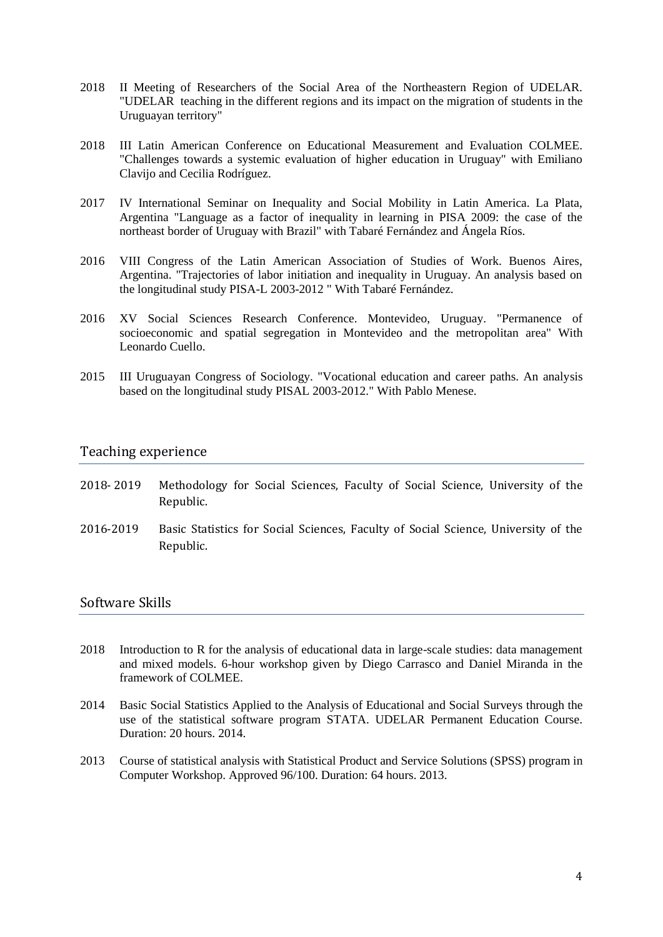- 2018 II Meeting of Researchers of the Social Area of the Northeastern Region of UDELAR. "UDELAR teaching in the different regions and its impact on the migration of students in the Uruguayan territory"
- 2018 III Latin American Conference on Educational Measurement and Evaluation COLMEE. "Challenges towards a systemic evaluation of higher education in Uruguay" with Emiliano Clavijo and Cecilia Rodríguez.
- 2017 IV International Seminar on Inequality and Social Mobility in Latin America. La Plata, Argentina "Language as a factor of inequality in learning in PISA 2009: the case of the northeast border of Uruguay with Brazil" with Tabaré Fernández and Ángela Ríos.
- 2016 VIII Congress of the Latin American Association of Studies of Work. Buenos Aires, Argentina. "Trajectories of labor initiation and inequality in Uruguay. An analysis based on the longitudinal study PISA-L 2003-2012 " With Tabaré Fernández.
- 2016 XV Social Sciences Research Conference. Montevideo, Uruguay. "Permanence of socioeconomic and spatial segregation in Montevideo and the metropolitan area" With Leonardo Cuello.
- 2015 III Uruguayan Congress of Sociology. "Vocational education and career paths. An analysis based on the longitudinal study PISAL 2003-2012." With Pablo Menese.

### Teaching experience

- 2018- 2019 Methodology for Social Sciences, Faculty of Social Science, University of the Republic.
- 2016-2019 Basic Statistics for Social Sciences, Faculty of Social Science, University of the Republic.

## Software Skills

- 2018 Introduction to R for the analysis of educational data in large-scale studies: data management and mixed models. 6-hour workshop given by Diego Carrasco and Daniel Miranda in the framework of COLMEE.
- 2014 Basic Social Statistics Applied to the Analysis of Educational and Social Surveys through the use of the statistical software program STATA. UDELAR Permanent Education Course. Duration: 20 hours. 2014.
- 2013 Course of statistical analysis with Statistical Product and Service Solutions (SPSS) program in Computer Workshop. Approved 96/100. Duration: 64 hours. 2013.